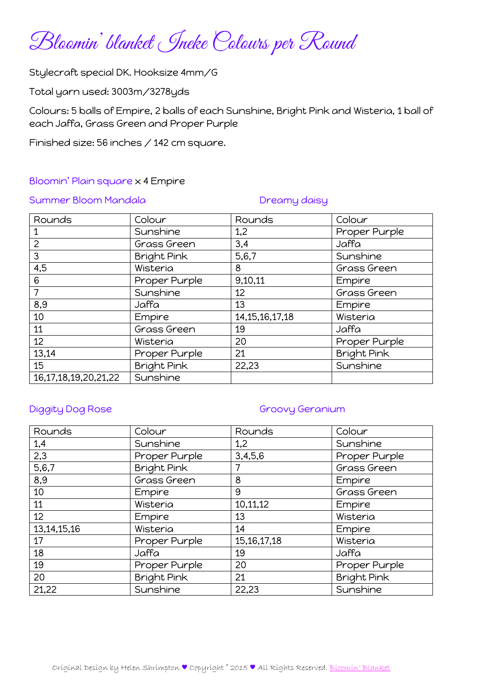Bloomin' blanket Ineke Colours per Round

Stylecraft special DK. Hooksize 4mm/G

Total yarn used: 3003m/3278yds

Colours: 5 balls of Empire, 2 balls of each Sunshine, Bright Pink and Wisteria, 1 ball of each Jaffa, Grass Green and Proper Purple

Finished size: 56 inches / 142 cm square.

### Bloomin' Plain square x 4 Empire

### Summer Bloom Mandala Dreamy daisy

| Rounds                     | Colour             | Rounds             | Colour             |
|----------------------------|--------------------|--------------------|--------------------|
|                            | Sunshine           | 1,2                | Proper Purple      |
| $\overline{2}$             | Grass Green        | 3,4                | Jaffa              |
| 3                          | <b>Bright Pink</b> | 5,6,7              | Sunshine           |
| 4,5                        | Wisteria           | 8                  | Grass Green        |
| 6                          | Proper Purple      | 9,10,11            | Empire             |
| $\overline{7}$             | Sunshine           | 12                 | Grass Green        |
| 8,9                        | Jaffa              | 13                 | Empire             |
| 10                         | Empire             | 14, 15, 16, 17, 18 | Wisteria           |
| 11                         | Grass Green        | 19                 | Jaffa              |
| 12                         | Wisteria           | 20                 | Proper Purple      |
| 13,14                      | Proper Purple      | 21                 | <b>Bright Pink</b> |
| 15                         | <b>Bright Pink</b> | 22,23              | Sunshine           |
| 16, 17, 18, 19, 20, 21, 22 | Sunshine           |                    |                    |

## Diggity Dog Rose Groovy Geranium

| Rounds         | Colour             | Rounds         | Colour             |
|----------------|--------------------|----------------|--------------------|
| 1,4            | Sunshine           | 1,2            | Sunshine           |
| 2,3            | Proper Purple      | 3,4,5,6        | Proper Purple      |
| 5, 6, 7        | <b>Bright Pink</b> |                | Grass Green        |
| 8,9            | Grass Green        | 8              | Empire             |
| 10             | <b>Empire</b>      | 9              | Grass Green        |
| 11             | Wisteria           | 10,11,12       | Empire             |
| 12             | <b>Empire</b>      | 13             | Wisteria           |
| 13, 14, 15, 16 | Wisteria           | 14             | Empire             |
| 17             | Proper Purple      | 15, 16, 17, 18 | Wisteria           |
| 18             | Jaffa              | 19             | Jaffa              |
| 19             | Proper Purple      | 20             | Proper Purple      |
| 20             | <b>Bright Pink</b> | 21             | <b>Bright Pink</b> |
| 21,22          | Sunshine           | 22,23          | Sunshine           |